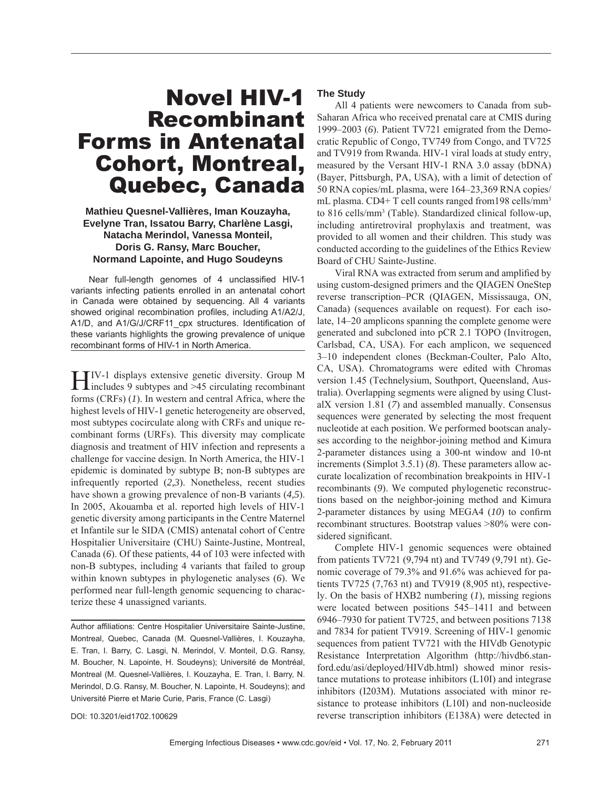# Novel HIV-1 Recombinant Forms in Antenatal Cohort, Montreal, Quebec, Canada

## **Mathieu Quesnel-Vallières, Iman Kouzayha, Evelyne Tran, Issatou Barry, Charlène Lasgi, Natacha Merindol, Vanessa Monteil, Doris G. Ransy, Marc Boucher, Normand Lapointe, and Hugo Soudeyns**

Near full-length genomes of 4 unclassified HIV-1 variants infecting patients enrolled in an antenatal cohort in Canada were obtained by sequencing. All 4 variants showed original recombination profiles, including A1/A2/J, A1/D, and A1/G/J/CRF11 cpx structures. Identification of these variants highlights the growing prevalence of unique recombinant forms of HIV-1 in North America.

HIV-1 displays extensive genetic diversity. Group M includes 9 subtypes and >45 circulating recombinant forms (CRFs) (*1*). In western and central Africa, where the highest levels of HIV-1 genetic heterogeneity are observed, most subtypes cocirculate along with CRFs and unique recombinant forms (URFs). This diversity may complicate diagnosis and treatment of HIV infection and represents a challenge for vaccine design. In North America, the HIV-1 epidemic is dominated by subtype B; non-B subtypes are infrequently reported (*2,3*). Nonetheless, recent studies have shown a growing prevalence of non-B variants (*4,5*). In 2005, Akouamba et al. reported high levels of HIV-1 genetic diversity among participants in the Centre Maternel et Infantile sur le SIDA (CMIS) antenatal cohort of Centre Hospitalier Universitaire (CHU) Sainte-Justine, Montreal, Canada (*6*). Of these patients, 44 of 103 were infected with non-B subtypes, including 4 variants that failed to group within known subtypes in phylogenetic analyses (*6*). We performed near full-length genomic sequencing to characterize these 4 unassigned variants.

Author affiliations: Centre Hospitalier Universitaire Sainte-Justine, Montreal, Quebec, Canada (M. Quesnel-Vallières, I. Kouzayha, E. Tran, I. Barry, C. Lasgi, N. Merindol, V. Monteil, D.G. Ransy, M. Boucher, N. Lapointe, H. Soudeyns); Université de Montréal, Montreal (M. Quesnel-Vallières, I. Kouzayha, E. Tran, I. Barry, N. Merindol, D.G. Ransy, M. Boucher, N. Lapointe, H. Soudeyns); and Université Pierre et Marie Curie, Paris, France (C. Lasgi)

## **The Study**

All 4 patients were newcomers to Canada from sub-Saharan Africa who received prenatal care at CMIS during 1999–2003 (*6*). Patient TV721 emigrated from the Democratic Republic of Congo, TV749 from Congo, and TV725 and TV919 from Rwanda. HIV-1 viral loads at study entry, measured by the Versant HIV-1 RNA 3.0 assay (bDNA) (Bayer, Pittsburgh, PA, USA), with a limit of detection of 50 RNA copies/mL plasma, were 164–23,369 RNA copies/ mL plasma. CD4+ T cell counts ranged from 198 cells/mm<sup>3</sup> to 816 cells/mm<sup>3</sup> (Table). Standardized clinical follow-up, including antiretroviral prophylaxis and treatment, was provided to all women and their children. This study was conducted according to the guidelines of the Ethics Review Board of CHU Sainte-Justine.

Viral RNA was extracted from serum and amplified by using custom-designed primers and the QIAGEN OneStep reverse transcription–PCR (QIAGEN, Mississauga, ON, Canada) (sequences available on request). For each isolate, 14–20 amplicons spanning the complete genome were generated and subcloned into pCR 2.1 TOPO (Invitrogen, Carlsbad, CA, USA). For each amplicon, we sequenced 3–10 independent clones (Beckman-Coulter, Palo Alto, CA, USA). Chromatograms were edited with Chromas version 1.45 (Technelysium, Southport, Queensland, Australia). Overlapping segments were aligned by using ClustalX version 1.81 (*7*) and assembled manually. Consensus sequences were generated by selecting the most frequent nucleotide at each position. We performed bootscan analyses according to the neighbor-joining method and Kimura 2-parameter distances using a 300-nt window and 10-nt increments (Simplot 3.5.1) (*8*). These parameters allow accurate localization of recombination breakpoints in HIV-1 recombinants (*9*). We computed phylogenetic reconstructions based on the neighbor-joining method and Kimura 2-parameter distances by using MEGA4 (*10*) to confirm recombinant structures. Bootstrap values >80% were considered significant.

Complete HIV-1 genomic sequences were obtained from patients TV721 (9,794 nt) and TV749 (9,791 nt). Genomic coverage of 79.3% and 91.6% was achieved for patients TV725 (7,763 nt) and TV919 (8,905 nt), respectively. On the basis of HXB2 numbering (*1*), missing regions were located between positions 545–1411 and between 6946–7930 for patient TV725, and between positions 7138 and 7834 for patient TV919. Screening of HIV-1 genomic sequences from patient TV721 with the HIVdb Genotypic Resistance Interpretation Algorithm (http://hivdb6.stanford.edu/asi/deployed/HIVdb.html) showed minor resistance mutations to protease inhibitors (L10I) and integrase inhibitors (I203M). Mutations associated with minor resistance to protease inhibitors (L10I) and non-nucleoside reverse transcription inhibitors (E138A) were detected in

DOI: 10.3201/eid1702.100629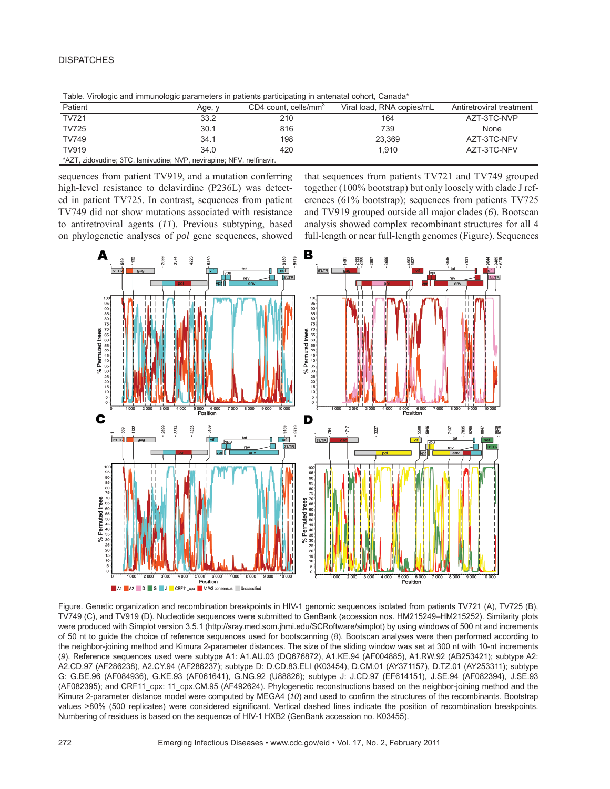# **DISPATCHES**

| Table. Virologic and immunologic parameters in patients participating in antenatal conort, Canada |        |                                  |                           |                          |
|---------------------------------------------------------------------------------------------------|--------|----------------------------------|---------------------------|--------------------------|
| Patient                                                                                           | Age, y | CD4 count, cells/mm <sup>3</sup> | Viral load, RNA copies/mL | Antiretroviral treatment |
| <b>TV721</b>                                                                                      | 33.2   | 210                              | 164                       | AZT-3TC-NVP              |
| <b>TV725</b>                                                                                      | 30.1   | 816                              | 739                       | None                     |
| <b>TV749</b>                                                                                      | 34.1   | 198                              | 23.369                    | AZT-3TC-NFV              |
| <b>TV919</b>                                                                                      | 34.0   | 420                              | 1.910                     | AZT-3TC-NFV              |
| *AZT, zidovudine; 3TC, lamivudine; NVP, nevirapine; NFV, nelfinavir.                              |        |                                  |                           |                          |

Table. Virologic and immunologic parameters in patients participating in antenatal cohort, Canada\*

sequences from patient TV919, and a mutation conferring high-level resistance to delavirdine (P236L) was detected in patient TV725. In contrast, sequences from patient TV749 did not show mutations associated with resistance to antiretroviral agents (*11*). Previous subtyping, based on phylogenetic analyses of *pol* gene sequences, showed

that sequences from patients TV721 and TV749 grouped together (100% bootstrap) but only loosely with clade J references (61% bootstrap); sequences from patients TV725 and TV919 grouped outside all major clades (*6*). Bootscan analysis showed complex recombinant structures for all 4 full-length or near full-length genomes (Figure). Sequences



Figure. Genetic organization and recombination breakpoints in HIV-1 genomic sequences isolated from patients TV721 (A), TV725 (B), TV749 (C), and TV919 (D). Nucleotide sequences were submitted to GenBank (accession nos. HM215249–HM215252). Similarity plots were produced with Simplot version 3.5.1 (http://sray.med.som.jhmi.edu/SCRoftware/simplot) by using windows of 500 nt and increments of 50 nt to guide the choice of reference sequences used for bootscanning (*8*). Bootscan analyses were then performed according to the neighbor-joining method and Kimura 2-parameter distances. The size of the sliding window was set at 300 nt with 10-nt increments (*9*). Reference sequences used were subtype A1: A1.AU.03 (DQ676872), A1.KE.94 (AF004885), A1.RW.92 (AB253421); subtype A2: A2.CD.97 (AF286238), A2.CY.94 (AF286237); subtype D: D.CD.83.ELI (K03454), D.CM.01 (AY371157), D.TZ.01 (AY253311); subtype G: G.BE.96 (AF084936), G.KE.93 (AF061641), G.NG.92 (U88826); subtype J: J.CD.97 (EF614151), J.SE.94 (AF082394), J.SE.93 (AF082395); and CRF11\_cpx: 11\_cpx.CM.95 (AF492624). Phylogenetic reconstructions based on the neighbor-joining method and the Kimura 2-parameter distance model were computed by MEGA4 (10) and used to confirm the structures of the recombinants. Bootstrap values >80% (500 replicates) were considered significant. Vertical dashed lines indicate the position of recombination breakpoints. Numbering of residues is based on the sequence of HIV-1 HXB2 (GenBank accession no. K03455).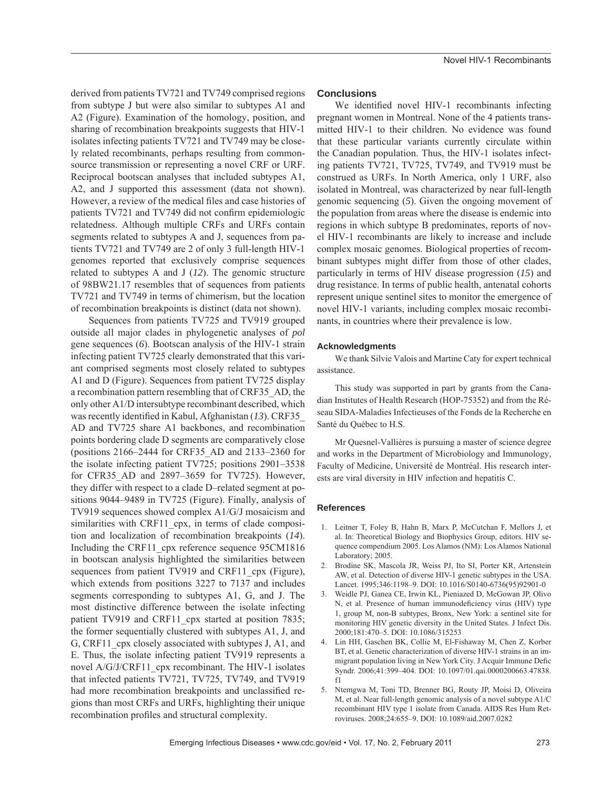derived from patients TV721 and TV749 comprised regions from subtype J but were also similar to subtypes A1 and A2 (Figure). Examination of the homology, position, and sharing of recombination breakpoints suggests that HIV-1 isolates infecting patients TV721 and TV749 may be closely related recombinants, perhaps resulting from commonsource transmission or representing a novel CRF or URF. Reciprocal bootscan analyses that included subtypes A1, A2, and J supported this assessment (data not shown). However, a review of the medical files and case histories of patients TV721 and TV749 did not confirm epidemiologic relatedness. Although multiple CRFs and URFs contain segments related to subtypes A and J, sequences from patients TV721 and TV749 are 2 of only 3 full-length HIV-1 genomes reported that exclusively comprise sequences related to subtypes A and J (*12*). The genomic structure of 98BW21.17 resembles that of sequences from patients

TV721 and TV749 in terms of chimerism, but the location

of recombination breakpoints is distinct (data not shown). Sequences from patients TV725 and TV919 grouped outside all major clades in phylogenetic analyses of *pol* gene sequences (*6*). Bootscan analysis of the HIV-1 strain infecting patient TV725 clearly demonstrated that this variant comprised segments most closely related to subtypes A1 and D (Figure). Sequences from patient TV725 display a recombination pattern resembling that of CRF35\_AD, the only other A1/D intersubtype recombinant described, which was recently identified in Kabul, Afghanistan (13). CRF35 AD and TV725 share A1 backbones, and recombination points bordering clade D segments are comparatively close (positions 2166–2444 for CRF35\_AD and 2133–2360 for the isolate infecting patient TV725; positions 2901–3538 for CFR35\_AD and 2897–3659 for TV725). However, they differ with respect to a clade D–related segment at positions 9044–9489 in TV725 (Figure). Finally, analysis of TV919 sequences showed complex A1/G/J mosaicism and similarities with CRF11 cpx, in terms of clade composition and localization of recombination breakpoints (*14*). Including the CRF11 cpx reference sequence 95CM1816 in bootscan analysis highlighted the similarities between sequences from patient TV919 and CRF11 cpx (Figure), which extends from positions 3227 to 7137 and includes segments corresponding to subtypes A1, G, and J. The most distinctive difference between the isolate infecting patient TV919 and CRF11 cpx started at position 7835; the former sequentially clustered with subtypes A1, J, and G, CRF11\_cpx closely associated with subtypes J, A1, and E. Thus, the isolate infecting patient TV919 represents a novel A/G/J/CRF11\_cpx recombinant. The HIV-1 isolates that infected patients TV721, TV725, TV749, and TV919 had more recombination breakpoints and unclassified regions than most CRFs and URFs, highlighting their unique recombination profiles and structural complexity.

#### **Conclusions**

We identified novel HIV-1 recombinants infecting pregnant women in Montreal. None of the 4 patients transmitted HIV-1 to their children. No evidence was found that these particular variants currently circulate within the Canadian population. Thus, the HIV-1 isolates infecting patients TV721, TV725, TV749, and TV919 must be construed as URFs. In North America, only 1 URF, also isolated in Montreal, was characterized by near full-length genomic sequencing (*5*). Given the ongoing movement of the population from areas where the disease is endemic into regions in which subtype B predominates, reports of novel HIV-1 recombinants are likely to increase and include complex mosaic genomes. Biological properties of recombinant subtypes might differ from those of other clades, particularly in terms of HIV disease progression (*15*) and drug resistance. In terms of public health, antenatal cohorts represent unique sentinel sites to monitor the emergence of novel HIV-1 variants, including complex mosaic recombinants, in countries where their prevalence is low.

#### **Acknowledgments**

We thank Silvie Valois and Martine Caty for expert technical assistance.

This study was supported in part by grants from the Canadian Institutes of Health Research (HOP-75352) and from the Réseau SIDA-Maladies Infectieuses of the Fonds de la Recherche en Santé du Québec to H.S.

Mr Quesnel-Vallières is pursuing a master of science degree and works in the Department of Microbiology and Immunology, Faculty of Medicine, Université de Montréal. His research interests are viral diversity in HIV infection and hepatitis C.

### **References**

- 1. Leitner T, Foley B, Hahn B, Marx P, McCutchan F, Mellors J, et al. In: Theoretical Biology and Biophysics Group, editors. HIV sequence compendium 2005. Los Alamos (NM): Los Alamos National Laboratory; 2005.
- 2. Brodine SK, Mascola JR, Weiss PJ, Ito SI, Porter KR, Artenstein AW, et al. Detection of diverse HIV-1 genetic subtypes in the USA. Lancet. 1995;346:1198–9. DOI: 10.1016/S0140-6736(95)92901-0
- 3. Weidle PJ, Ganea CE, Irwin KL, Pieniazed D, McGowan JP, Olivo N, et al. Presence of human immunodeficiency virus (HIV) type 1, group M, non-B subtypes, Bronx, New York: a sentinel site for monitoring HIV genetic diversity in the United States. J Infect Dis. 2000;181:470–5. DOI: 10.1086/315253
- 4. Lin HH, Gaschen BK, Collie M, El-Fishaway M, Chen Z, Korber BT, et al. Genetic characterization of diverse HIV-1 strains in an immigrant population living in New York City. J Acquir Immune Defic Syndr. 2006;41:399–404. DOI: 10.1097/01.qai.0000200663.47838. f1
- 5. Ntemgwa M, Toni TD, Brenner BG, Routy JP, Moisi D, Oliveira M, et al. Near full-length genomic analysis of a novel subtype A1/C recombinant HIV type 1 isolate from Canada. AIDS Res Hum Retroviruses. 2008;24:655–9. DOI: 10.1089/aid.2007.0282